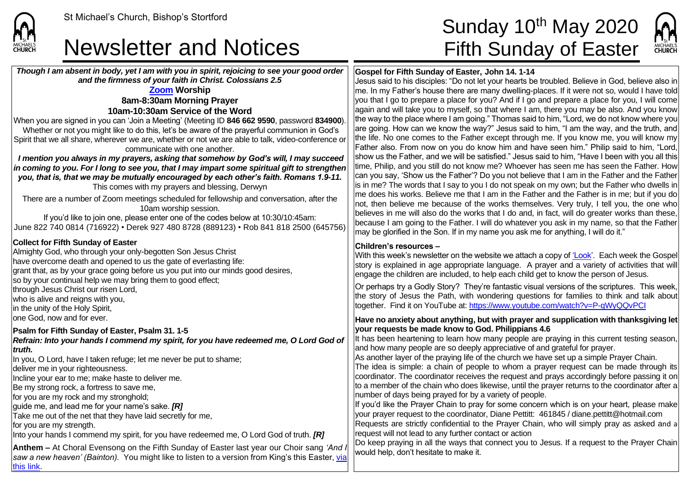### Newsletter and Notices Fifth Sunday of Easter

*Though I am absent in body, yet I am with you in spirit, rejoicing to see your good order and the firmness of your faith in Christ. Colossians 2.5*

#### **[Zoom](https://zoom.us/) Worship 8am-8:30am Morning Prayer 10am-10:30am Service of the Word**

When you are signed in you can 'Join a Meeting' (Meeting ID **846 662 9590**, password **834900**). Whether or not you might like to do this, let's be aware of the prayerful communion in God's Spirit that we all share, wherever we are, whether or not we are able to talk, video-conference or communicate with one another.

*I mention you always in my prayers, asking that somehow by God's will, I may succeed in coming to you. For I long to see you, that I may impart some spiritual gift to strengthen you, that is, that we may be mutually encouraged by each other's faith. Romans 1.9-11.* This comes with my prayers and blessing, Derwyn

There are a number of Zoom meetings scheduled for fellowship and conversation, after the 10am worship session.

If you'd like to join one, please enter one of the codes below at 10:30/10:45am: June 822 740 0814 (716922) • Derek 927 480 8728 (889123) • Rob 841 818 2500 (645756)

#### **Collect for Fifth Sunday of Easter**

Almighty God, who through your only-begotten Son Jesus Christ have overcome death and opened to us the gate of everlasting life: grant that, as by your grace going before us you put into our minds good desires, so by your continual help we may bring them to good effect; through Jesus Christ our risen Lord, who is alive and reigns with you, In the unity of the Holy Spirit. lone God, now and for ever.

#### **Psalm for Fifth Sunday of Easter, Psalm 31. 1-5**

*Refrain: Into your hands I commend my spirit, for you have redeemed me, O Lord God of truth.*

In you, O Lord, have I taken refuge; let me never be put to shame;

deliver me in your righteousness.

Incline your ear to me; make haste to deliver me.

Be my strong rock, a fortress to save me,

for you are my rock and my stronghold;

guide me, and lead me for your name's sake. *[R]*

Take me out of the net that they have laid secretly for me,

for you are my strength.

Into your hands I commend my spirit, for you have redeemed me, O Lord God of truth. *[R]*

**Anthem** – At Choral Evensong on the Fifth Sunday of Easter last year our Choir sang *'And saw a new heaven' (Bainton).* You might like to listen to a version from King's this Easter, [via](https://www.youtube.com/watch?v=Lyy7RWXAV9Q)  [this link.](https://www.youtube.com/watch?v=Lyy7RWXAV9Q)

# St Michael's Church, Bishop's Stortford **Sunday 10<sup>th</sup> May 2020**

MICHAELS<br>CHURCH

#### **Gospel for Fifth Sunday of Easter, John 14. 1-14**

Jesus said to his disciples: "Do not let your hearts be troubled. Believe in God, believe also in  $\vert$ me. In my Father's house there are many dwelling-places. If it were not so, would I have told you that I go to prepare a place for you? And if I go and prepare a place for you, I will come again and will take you to myself, so that where I am, there you may be also. And you know the way to the place where I am going." Thomas said to him, "Lord, we do not know where you are going. How can we know the way?" Jesus said to him, "I am the way, and the truth, and the life. No one comes to the Father except through me. If you know me, you will know my Father also. From now on you do know him and have seen him." Philip said to him, "Lord, show us the Father, and we will be satisfied." Jesus said to him, "Have I been with you all this time, Philip, and you still do not know me? Whoever has seen me has seen the Father. How can you say, 'Show us the Father'? Do you not believe that I am in the Father and the Father is in me? The words that I say to you I do not speak on my own; but the Father who dwells in me does his works. Believe me that I am in the Father and the Father is in me; but if you do not, then believe me because of the works themselves. Very truly, I tell you, the one who believes in me will also do the works that I do and, in fact, will do greater works than these, because I am going to the Father. I will do whatever you ask in my name, so that the Father may be glorified in the Son. If in my name you ask me for anything, I will do it."

#### **Children's resources –**

With this week's newsletter on the website we attach a copy o[f 'Look'.](https://saintmichaelweb.org.uk/Articles/542815/_Newsletter.aspx) Each week the Gospel story is explained in age appropriate language. A prayer and a variety of activities that will engage the children are included, to help each child get to know the person of Jesus.

Or perhaps try a Godly Story? They're fantastic visual versions of the scriptures. This week, the story of Jesus the Path, with wondering questions for families to think and talk about together. Find it on YouTube at[: https://www.youtube.com/watch?v=P-qWyQQvPCI](https://www.youtube.com/watch?v=P-qWyQQvPCI)

#### **Have no anxiety about anything, but with prayer and supplication with thanksgiving let your requests be made know to God. Philippians 4.6**

It has been heartening to learn how many people are praying in this current testing season, and how many people are so deeply appreciative of and grateful for prayer.

As another layer of the praying life of the church we have set up a simple Prayer Chain.

The idea is simple: a chain of people to whom a prayer request can be made through its coordinator. The coordinator receives the request and prays accordingly before passing it on to a member of the chain who does likewise, until the prayer returns to the coordinator after a number of days being prayed for by a variety of people.

If you'd like the Prayer Chain to pray for some concern which is on your heart, please make your prayer request to the coordinator, Diane Pettitt: 461845 / diane.pettitt@hotmail.com Requests are strictly confidential to the Prayer Chain, who will simply pray as asked and a request will not lead to any further contact or action

Do keep praying in all the ways that connect you to Jesus. If a request to the Prayer Chain would help, don't hesitate to make it.